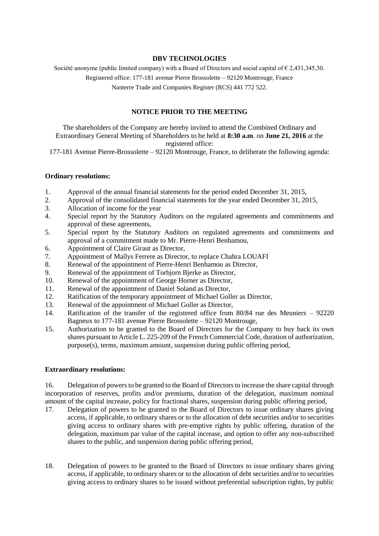### **DBV TECHNOLOGIES**

Société anonyme (public limited company) with a Board of Directors and social capital of  $\epsilon$  2.431,345,30.

Registered office: 177-181 avenue Pierre Brossolette – 92120 Montrouge, France

Nanterre Trade and Companies Register (RCS) 441 772 522.

# **NOTICE PRIOR TO THE MEETING**

The shareholders of the Company are hereby invited to attend the Combined Ordinary and Extraordinary General Meeting of Shareholders to be held at **8:30 a.m**. on **June 21, 2016** at the registered office:

177-181 Avenue Pierre-Brossolette – 92120 Montrouge, France, to deliberate the following agenda:

## **Ordinary resolutions:**

- 1. Approval of the annual financial statements for the period ended December 31, 2015,
- 2. Approval of the consolidated financial statements for the year ended December 31, 2015,
- 3. Allocation of income for the year
- 4. Special report by the Statutory Auditors on the regulated agreements and commitments and approval of these agreements,
- 5. Special report by the Statutory Auditors on regulated agreements and commitments and approval of a commitment made to Mr. Pierre-Henri Benhamou,
- 6. Appointment of Claire Giraut as Director,
- 7. Appointment of Maïlys Ferrere as Director, to replace Chahra LOUAFI
- 8. Renewal of the appointment of Pierre-Henri Benhamou as Director,
- 9. Renewal of the appointment of Torbjorn Bjerke as Director,
- 10. Renewal of the appointment of George Horner as Director,
- 11. Renewal of the appointment of Daniel Soland as Director,
- 12. Ratification of the temporary appointment of Michael Goller as Director,
- 13. Renewal of the appointment of Michael Goller as Director,
- 14. Ratification of the transfer of the registered office from 80/84 rue des Meuniers 92220 Bagneux to 177-181 avenue Pierre Brossolette – 92120 Montrouge,
- 15. Authorization to be granted to the Board of Directors for the Company to buy back its own shares pursuant to Article L. 225-209 of the French Commercial Code, duration of authorization, purpose(s), terms, maximum amount, suspension during public offering period,

#### **Extraordinary resolutions:**

16. Delegation of powers to be granted to the Board of Directors to increase the share capital through incorporation of reserves, profits and/or premiums, duration of the delegation, maximum nominal amount of the capital increase, policy for fractional shares, suspension during public offering period,

- 17. Delegation of powers to be granted to the Board of Directors to issue ordinary shares giving access, if applicable, to ordinary shares or to the allocation of debt securities and/or to securities giving access to ordinary shares with pre-emptive rights by public offering, duration of the delegation, maximum par value of the capital increase, and option to offer any non-subscribed shares to the public, and suspension during public offering period,
- 18. Delegation of powers to be granted to the Board of Directors to issue ordinary shares giving access, if applicable, to ordinary shares or to the allocation of debt securities and/or to securities giving access to ordinary shares to be issued without preferential subscription rights, by public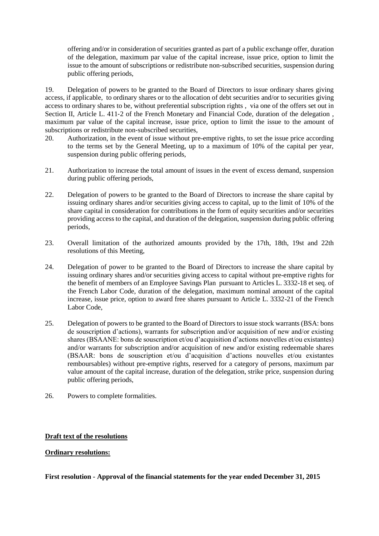offering and/or in consideration of securities granted as part of a public exchange offer, duration of the delegation, maximum par value of the capital increase, issue price, option to limit the issue to the amount of subscriptions or redistribute non‐subscribed securities, suspension during public offering periods,

19. Delegation of powers to be granted to the Board of Directors to issue ordinary shares giving access, if applicable, to ordinary shares or to the allocation of debt securities and/or to securities giving access to ordinary shares to be, without preferential subscription rights , via one of the offers set out in Section II, Article L. 411-2 of the French Monetary and Financial Code, duration of the delegation, maximum par value of the capital increase, issue price, option to limit the issue to the amount of subscriptions or redistribute non-subscribed securities.

- 20. Authorization, in the event of issue without pre-emptive rights, to set the issue price according to the terms set by the General Meeting, up to a maximum of 10% of the capital per year, suspension during public offering periods,
- 21. Authorization to increase the total amount of issues in the event of excess demand, suspension during public offering periods,
- 22. Delegation of powers to be granted to the Board of Directors to increase the share capital by issuing ordinary shares and/or securities giving access to capital, up to the limit of 10% of the share capital in consideration for contributions in the form of equity securities and/or securities providing access to the capital, and duration of the delegation, suspension during public offering periods,
- 23. Overall limitation of the authorized amounts provided by the 17th, 18th, 19st and 22th resolutions of this Meeting,
- 24. Delegation of power to be granted to the Board of Directors to increase the share capital by issuing ordinary shares and/or securities giving access to capital without pre-emptive rights for the benefit of members of an Employee Savings Plan pursuant to Articles L. 3332-18 et seq. of the French Labor Code, duration of the delegation, maximum nominal amount of the capital increase, issue price, option to award free shares pursuant to Article L. 3332-21 of the French Labor Code,
- 25. Delegation of powers to be granted to the Board of Directors to issue stock warrants (BSA: bons de souscription d'actions), warrants for subscription and/or acquisition of new and/or existing shares (BSAANE: bons de souscription et/ou d'acquisition d'actions nouvelles et/ou existantes) and/or warrants for subscription and/or acquisition of new and/or existing redeemable shares (BSAAR: bons de souscription et/ou d'acquisition d'actions nouvelles et/ou existantes remboursables) without pre-emptive rights, reserved for a category of persons, maximum par value amount of the capital increase, duration of the delegation, strike price, suspension during public offering periods,
- 26. Powers to complete formalities.

# **Draft text of the resolutions**

### **Ordinary resolutions:**

**First resolution - Approval of the financial statements for the year ended December 31, 2015**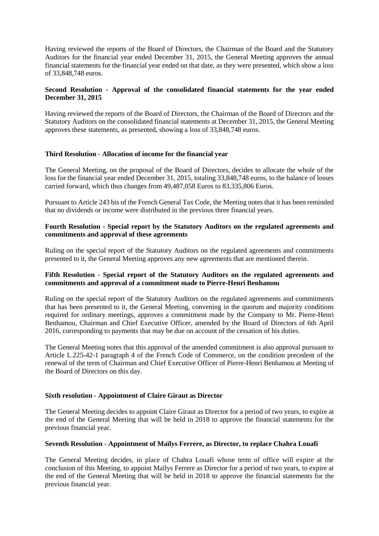Having reviewed the reports of the Board of Directors, the Chairman of the Board and the Statutory Auditors for the financial year ended December 31, 2015, the General Meeting approves the annual financial statements for the financial year ended on that date, as they were presented, which show a loss of 33,848,748 euros.

## **Second Resolution - Approval of the consolidated financial statements for the year ended December 31, 2015**

Having reviewed the reports of the Board of Directors, the Chairman of the Board of Directors and the Statutory Auditors on the consolidated financial statements at December 31, 2015, the General Meeting approves these statements, as presented, showing a loss of 33,848,748 euros.

## **Third Resolution - Allocation of income for the financial year**

The General Meeting, on the proposal of the Board of Directors, decides to allocate the whole of the loss for the financial year ended December 31, 2015, totaling 33,848,748 euros, to the balance of losses carried forward, which thus changes from 49,487,058 Euros to 83,335,806 Euros.

Pursuant to Article 243 bis of the French General Tax Code, the Meeting notes that it has been reminded that no dividends or income were distributed in the previous three financial years.

### **Fourth Resolution - Special report by the Statutory Auditors on the regulated agreements and commitments and approval of these agreements**

Ruling on the special report of the Statutory Auditors on the regulated agreements and commitments presented to it, the General Meeting approves any new agreements that are mentioned therein.

### **Fifth Resolution - Special report of the Statutory Auditors on the regulated agreements and commitments and approval of a commitment made to Pierre-Henri Benhamou**

Ruling on the special report of the Statutory Auditors on the regulated agreements and commitments that has been presented to it, the General Meeting, convening in the quorum and majority conditions required for ordinary meetings, approves a commitment made by the Company to Mr. Pierre-Henri Benhamou, Chairman and Chief Executive Officer, amended by the Board of Directors of 6th April 2016, corresponding to payments that may be due on account of the cessation of his duties.

The General Meeting notes that this approval of the amended commitment is also approval pursuant to Article L.225-42-1 paragraph 4 of the French Code of Commerce, on the condition precedent of the renewal of the term of Chairman and Chief Executive Officer of Pierre-Henri Benhamou at Meeting of the Board of Directors on this day.

#### **Sixth resolution - Appointment of Claire Giraut as Director**

The General Meeting decides to appoint Claire Giraut as Director for a period of two years, to expire at the end of the General Meeting that will be held in 2018 to approve the financial statements for the previous financial year.

### **Seventh Resolution - Appointment of Maïlys Ferrere, as Director, to replace Chahra Louafi**

The General Meeting decides, in place of Chahra Louafi whose term of office will expire at the conclusion of this Meeting, to appoint Maïlys Ferrere as Director for a period of two years, to expire at the end of the General Meeting that will be held in 2018 to approve the financial statements for the previous financial year.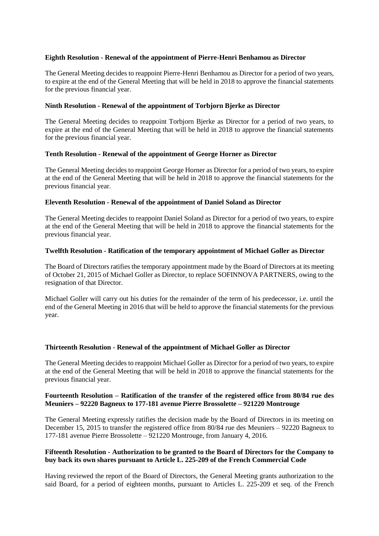### **Eighth Resolution - Renewal of the appointment of Pierre-Henri Benhamou as Director**

The General Meeting decides to reappoint Pierre-Henri Benhamou as Director for a period of two years, to expire at the end of the General Meeting that will be held in 2018 to approve the financial statements for the previous financial year.

#### **Ninth Resolution - Renewal of the appointment of Torbjorn Bjerke as Director**

The General Meeting decides to reappoint Torbjorn Bjerke as Director for a period of two years, to expire at the end of the General Meeting that will be held in 2018 to approve the financial statements for the previous financial year.

#### **Tenth Resolution - Renewal of the appointment of George Horner as Director**

The General Meeting decides to reappoint George Horner as Director for a period of two years, to expire at the end of the General Meeting that will be held in 2018 to approve the financial statements for the previous financial year.

## **Eleventh Resolution - Renewal of the appointment of Daniel Soland as Director**

The General Meeting decides to reappoint Daniel Soland as Director for a period of two years, to expire at the end of the General Meeting that will be held in 2018 to approve the financial statements for the previous financial year.

#### **Twelfth Resolution - Ratification of the temporary appointment of Michael Goller as Director**

The Board of Directors ratifies the temporary appointment made by the Board of Directors at its meeting of October 21, 2015 of Michael Goller as Director, to replace SOFINNOVA PARTNERS, owing to the resignation of that Director.

Michael Goller will carry out his duties for the remainder of the term of his predecessor, i.e. until the end of the General Meeting in 2016 that will be held to approve the financial statements for the previous year.

#### **Thirteenth Resolution - Renewal of the appointment of Michael Goller as Director**

The General Meeting decides to reappoint Michael Goller as Director for a period of two years, to expire at the end of the General Meeting that will be held in 2018 to approve the financial statements for the previous financial year.

#### **Fourteenth Resolution – Ratification of the transfer of the registered office from 80/84 rue des Meuniers – 92220 Bagneux to 177-181 avenue Pierre Brossolette – 921220 Montrouge**

The General Meeting expressly ratifies the decision made by the Board of Directors in its meeting on December 15, 2015 to transfer the registered office from 80/84 rue des Meuniers – 92220 Bagneux to 177-181 avenue Pierre Brossolette – 921220 Montrouge, from January 4, 2016.

## **Fifteenth Resolution - Authorization to be granted to the Board of Directors for the Company to buy back its own shares pursuant to Article L. 225-209 of the French Commercial Code**

Having reviewed the report of the Board of Directors, the General Meeting grants authorization to the said Board, for a period of eighteen months, pursuant to Articles L. 225-209 et seq. of the French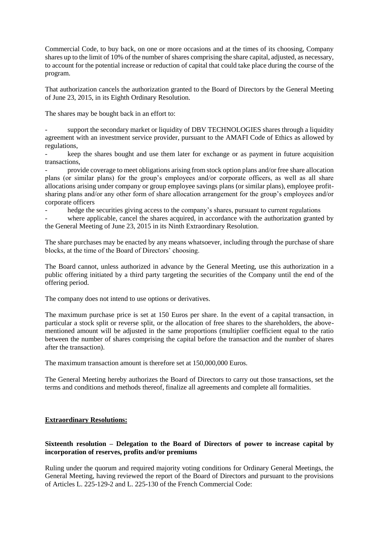Commercial Code, to buy back, on one or more occasions and at the times of its choosing, Company shares up to the limit of 10% of the number of shares comprising the share capital, adjusted, as necessary, to account for the potential increase or reduction of capital that could take place during the course of the program.

That authorization cancels the authorization granted to the Board of Directors by the General Meeting of June 23, 2015, in its Eighth Ordinary Resolution.

The shares may be bought back in an effort to:

support the secondary market or liquidity of DBV TECHNOLOGIES shares through a liquidity agreement with an investment service provider, pursuant to the AMAFI Code of Ethics as allowed by regulations,

keep the shares bought and use them later for exchange or as payment in future acquisition transactions,

provide coverage to meet obligations arising from stock option plans and/or free share allocation plans (or similar plans) for the group's employees and/or corporate officers, as well as all share allocations arising under company or group employee savings plans (or similar plans), employee profitsharing plans and/or any other form of share allocation arrangement for the group's employees and/or corporate officers

hedge the securities giving access to the company's shares, pursuant to current regulations

where applicable, cancel the shares acquired, in accordance with the authorization granted by the General Meeting of June 23, 2015 in its Ninth Extraordinary Resolution.

The share purchases may be enacted by any means whatsoever, including through the purchase of share blocks, at the time of the Board of Directors' choosing.

The Board cannot, unless authorized in advance by the General Meeting, use this authorization in a public offering initiated by a third party targeting the securities of the Company until the end of the offering period.

The company does not intend to use options or derivatives.

The maximum purchase price is set at 150 Euros per share. In the event of a capital transaction, in particular a stock split or reverse split, or the allocation of free shares to the shareholders, the abovementioned amount will be adjusted in the same proportions (multiplier coefficient equal to the ratio between the number of shares comprising the capital before the transaction and the number of shares after the transaction).

The maximum transaction amount is therefore set at 150,000,000 Euros.

The General Meeting hereby authorizes the Board of Directors to carry out those transactions, set the terms and conditions and methods thereof, finalize all agreements and complete all formalities.

# **Extraordinary Resolutions:**

## **Sixteenth resolution – Delegation to the Board of Directors of power to increase capital by incorporation of reserves, profits and/or premiums**

Ruling under the quorum and required majority voting conditions for Ordinary General Meetings, the General Meeting, having reviewed the report of the Board of Directors and pursuant to the provisions of Articles L. 225-129-2 and L. 225-130 of the French Commercial Code: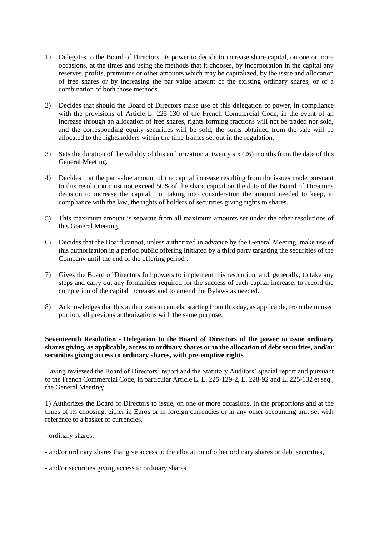- 1) Delegates to the Board of Directors, its power to decide to increase share capital, on one or more occasions, at the times and using the methods that it chooses, by incorporation in the capital any reserves, profits, premiums or other amounts which may be capitalized, by the issue and allocation of free shares or by increasing the par value amount of the existing ordinary shares, or of a combination of both those methods.
- 2) Decides that should the Board of Directors make use of this delegation of power, in compliance with the provisions of Article L. 225-130 of the French Commercial Code, in the event of an increase through an allocation of free shares, rights forming fractions will not be traded nor sold, and the corresponding equity securities will be sold; the sums obtained from the sale will be allocated to the rightsholders within the time frames set out in the regulation.
- 3) Sets the duration of the validity of this authorization at twenty six (26) months from the date of this General Meeting.
- 4) Decides that the par value amount of the capital increase resulting from the issues made pursuant to this resolution must not exceed 50% of the share capital on the date of the Board of Director's decision to increase the capital, not taking into consideration the amount needed to keep, in compliance with the law, the rights of holders of securities giving rights to shares.
- 5) This maximum amount is separate from all maximum amounts set under the other resolutions of this General Meeting.
- 6) Decides that the Board cannot, unless authorized in advance by the General Meeting, make use of this authorization in a period public offering initiated by a third party targeting the securities of the Company until the end of the offering period .
- 7) Gives the Board of Directors full powers to implement this resolution, and, generally, to take any steps and carry out any formalities required for the success of each capital increase, to record the completion of the capital increases and to amend the Bylaws as needed.
- 8) Acknowledges that this authorization cancels, starting from this day, as applicable, from the unused portion, all previous authorizations with the same purpose.

#### **Seventeenth Resolution - Delegation to the Board of Directors of the power to issue ordinary shares giving, as applicable, access to ordinary shares or to the allocation of debt securities, and/or securities giving access to ordinary shares, with pre-emptive rights**

Having reviewed the Board of Directors' report and the Statutory Auditors' special report and pursuant to the French Commercial Code, in particular Article L. L. 225-129-2, L. 228-92 and L. 225-132 et seq., the General Meeting:

1) Authorizes the Board of Directors to issue, on one or more occasions, in the proportions and at the times of its choosing, either in Euros or in foreign currencies or in any other accounting unit set with reference to a basket of currencies,

- ordinary shares,
- and/or ordinary shares that give access to the allocation of other ordinary shares or debt securities,
- and/or securities giving access to ordinary shares.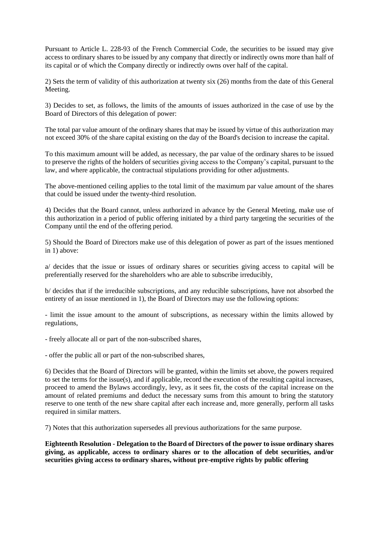Pursuant to Article L. 228-93 of the French Commercial Code, the securities to be issued may give access to ordinary shares to be issued by any company that directly or indirectly owns more than half of its capital or of which the Company directly or indirectly owns over half of the capital.

2) Sets the term of validity of this authorization at twenty six (26) months from the date of this General Meeting.

3) Decides to set, as follows, the limits of the amounts of issues authorized in the case of use by the Board of Directors of this delegation of power:

The total par value amount of the ordinary shares that may be issued by virtue of this authorization may not exceed 30% of the share capital existing on the day of the Board's decision to increase the capital.

To this maximum amount will be added, as necessary, the par value of the ordinary shares to be issued to preserve the rights of the holders of securities giving access to the Company's capital, pursuant to the law, and where applicable, the contractual stipulations providing for other adjustments.

The above-mentioned ceiling applies to the total limit of the maximum par value amount of the shares that could be issued under the twenty-third resolution.

4) Decides that the Board cannot, unless authorized in advance by the General Meeting, make use of this authorization in a period of public offering initiated by a third party targeting the securities of the Company until the end of the offering period.

5) Should the Board of Directors make use of this delegation of power as part of the issues mentioned in 1) above:

a/ decides that the issue or issues of ordinary shares or securities giving access to capital will be preferentially reserved for the shareholders who are able to subscribe irreducibly,

b/ decides that if the irreducible subscriptions, and any reducible subscriptions, have not absorbed the entirety of an issue mentioned in 1), the Board of Directors may use the following options:

- limit the issue amount to the amount of subscriptions, as necessary within the limits allowed by regulations,

- freely allocate all or part of the non-subscribed shares,

- offer the public all or part of the non-subscribed shares,

6) Decides that the Board of Directors will be granted, within the limits set above, the powers required to set the terms for the issue(s), and if applicable, record the execution of the resulting capital increases, proceed to amend the Bylaws accordingly, levy, as it sees fit, the costs of the capital increase on the amount of related premiums and deduct the necessary sums from this amount to bring the statutory reserve to one tenth of the new share capital after each increase and, more generally, perform all tasks required in similar matters.

7) Notes that this authorization supersedes all previous authorizations for the same purpose.

**Eighteenth Resolution - Delegation to the Board of Directors of the power to issue ordinary shares giving, as applicable, access to ordinary shares or to the allocation of debt securities, and/or securities giving access to ordinary shares, without pre-emptive rights by public offering**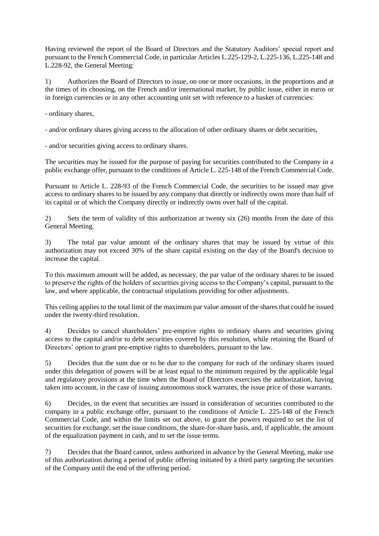Having reviewed the report of the Board of Directors and the Statutory Auditors' special report and pursuant to the French Commercial Code, in particular Articles L.225-129-2, L.225-136, L.225-148 and L.228-92, the General Meeting:

1) Authorizes the Board of Directors to issue, on one or more occasions, in the proportions and at the times of its choosing, on the French and/or international market, by public issue, either in euros or in foreign currencies or in any other accounting unit set with reference to a basket of currencies:

- ordinary shares,

- and/or ordinary shares giving access to the allocation of other ordinary shares or debt securities,

- and/or securities giving access to ordinary shares.

The securities may be issued for the purpose of paying for securities contributed to the Company in a public exchange offer, pursuant to the conditions of Article L. 225-148 of the French Commercial Code.

Pursuant to Article L. 228-93 of the French Commercial Code, the securities to be issued may give access to ordinary shares to be issued by any company that directly or indirectly owns more than half of its capital or of which the Company directly or indirectly owns over half of the capital.

2) Sets the term of validity of this authorization at twenty six (26) months from the date of this General Meeting.

3) The total par value amount of the ordinary shares that may be issued by virtue of this authorization may not exceed 30% of the share capital existing on the day of the Board's decision to increase the capital.

To this maximum amount will be added, as necessary, the par value of the ordinary shares to be issued to preserve the rights of the holders of securities giving access to the Company's capital, pursuant to the law, and where applicable, the contractual stipulations providing for other adjustments.

This ceiling applies to the total limit of the maximum par value amount of the shares that could be issued under the twenty-third resolution.

4) Decides to cancel shareholders' pre-emptive rights to ordinary shares and securities giving access to the capital and/or to debt securities covered by this resolution, while retaining the Board of Directors' option to grant pre-emptive rights to shareholders, pursuant to the law.

5) Decides that the sum due or to be due to the company for each of the ordinary shares issued under this delegation of powers will be at least equal to the minimum required by the applicable legal and regulatory provisions at the time when the Board of Directors exercises the authorization, having taken into account, in the case of issuing autonomous stock warrants, the issue price of those warrants.

6) Decides, in the event that securities are issued in consideration of securities contributed to the company in a public exchange offer, pursuant to the conditions of Article L. 225-148 of the French Commercial Code, and within the limits set out above, to grant the powers required to set the list of securities for exchange, set the issue conditions, the share-for-share basis, and, if applicable, the amount of the equalization payment in cash, and to set the issue terms.

7) Decides that the Board cannot, unless authorized in advance by the General Meeting, make use of this authorization during a period of public offering initiated by a third party targeting the securities of the Company until the end of the offering period.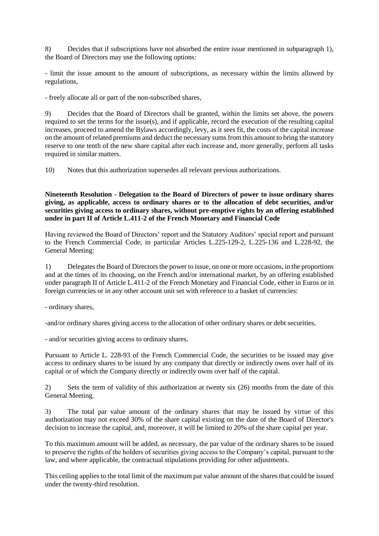8) Decides that if subscriptions have not absorbed the entire issue mentioned in subparagraph 1), the Board of Directors may use the following options:

- limit the issue amount to the amount of subscriptions, as necessary within the limits allowed by regulations,

- freely allocate all or part of the non-subscribed shares,

9) Decides that the Board of Directors shall be granted, within the limits set above, the powers required to set the terms for the issue(s), and if applicable, record the execution of the resulting capital increases, proceed to amend the Bylaws accordingly, levy, as it sees fit, the costs of the capital increase on the amount of related premiums and deduct the necessary sums from this amount to bring the statutory reserve to one tenth of the new share capital after each increase and, more generally, perform all tasks required in similar matters.

10) Notes that this authorization supersedes all relevant previous authorizations.

**Nineteenth Resolution - Delegation to the Board of Directors of power to issue ordinary shares giving, as applicable, access to ordinary shares or to the allocation of debt securities, and/or securities giving access to ordinary shares, without pre-emptive rights by an offering established under in part II of Article L.411-2 of the French Monetary and Financial Code**

Having reviewed the Board of Directors' report and the Statutory Auditors' special report and pursuant to the French Commercial Code, in particular Articles L.225-129-2, L.225-136 and L.228-92, the General Meeting:

1) Delegates the Board of Directors the power to issue, on one or more occasions, in the proportions and at the times of its choosing, on the French and/or international market, by an offering established under paragraph II of Article L.411-2 of the French Monetary and Financial Code, either in Euros or in foreign currencies or in any other account unit set with reference to a basket of currencies:

- ordinary shares,

-and/or ordinary shares giving access to the allocation of other ordinary shares or debt securities,

- and/or securities giving access to ordinary shares,

Pursuant to Article L. 228-93 of the French Commercial Code, the securities to be issued may give access to ordinary shares to be issued by any company that directly or indirectly owns over half of its capital or of which the Company directly or indirectly owns over half of the capital.

2) Sets the term of validity of this authorization at twenty six (26) months from the date of this General Meeting.

3) The total par value amount of the ordinary shares that may be issued by virtue of this authorization may not exceed 30% of the share capital existing on the date of the Board of Director's decision to increase the capital, and, moreover, it will be limited to 20% of the share capital per year.

To this maximum amount will be added, as necessary, the par value of the ordinary shares to be issued to preserve the rights of the holders of securities giving access to the Company's capital, pursuant to the law, and where applicable, the contractual stipulations providing for other adjustments.

This ceiling applies to the total limit of the maximum par value amount of the shares that could be issued under the twenty-third resolution.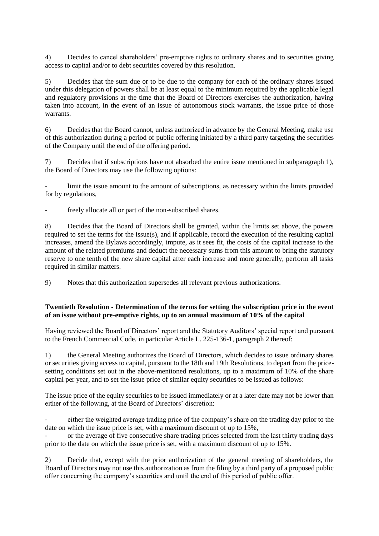4) Decides to cancel shareholders' pre-emptive rights to ordinary shares and to securities giving access to capital and/or to debt securities covered by this resolution.

5) Decides that the sum due or to be due to the company for each of the ordinary shares issued under this delegation of powers shall be at least equal to the minimum required by the applicable legal and regulatory provisions at the time that the Board of Directors exercises the authorization, having taken into account, in the event of an issue of autonomous stock warrants, the issue price of those warrants.

6) Decides that the Board cannot, unless authorized in advance by the General Meeting, make use of this authorization during a period of public offering initiated by a third party targeting the securities of the Company until the end of the offering period.

7) Decides that if subscriptions have not absorbed the entire issue mentioned in subparagraph 1), the Board of Directors may use the following options:

limit the issue amount to the amount of subscriptions, as necessary within the limits provided for by regulations,

freely allocate all or part of the non-subscribed shares.

8) Decides that the Board of Directors shall be granted, within the limits set above, the powers required to set the terms for the issue(s), and if applicable, record the execution of the resulting capital increases, amend the Bylaws accordingly, impute, as it sees fit, the costs of the capital increase to the amount of the related premiums and deduct the necessary sums from this amount to bring the statutory reserve to one tenth of the new share capital after each increase and more generally, perform all tasks required in similar matters.

9) Notes that this authorization supersedes all relevant previous authorizations.

## **Twentieth Resolution - Determination of the terms for setting the subscription price in the event of an issue without pre-emptive rights, up to an annual maximum of 10% of the capital**

Having reviewed the Board of Directors' report and the Statutory Auditors' special report and pursuant to the French Commercial Code, in particular Article L. 225-136-1, paragraph 2 thereof:

1) the General Meeting authorizes the Board of Directors, which decides to issue ordinary shares or securities giving access to capital, pursuant to the 18th and 19th Resolutions, to depart from the pricesetting conditions set out in the above-mentioned resolutions, up to a maximum of 10% of the share capital per year, and to set the issue price of similar equity securities to be issued as follows:

The issue price of the equity securities to be issued immediately or at a later date may not be lower than either of the following, at the Board of Directors' discretion:

either the weighted average trading price of the company's share on the trading day prior to the date on which the issue price is set, with a maximum discount of up to 15%,

- or the average of five consecutive share trading prices selected from the last thirty trading days prior to the date on which the issue price is set, with a maximum discount of up to 15%.

2) Decide that, except with the prior authorization of the general meeting of shareholders, the Board of Directors may not use this authorization as from the filing by a third party of a proposed public offer concerning the company's securities and until the end of this period of public offer.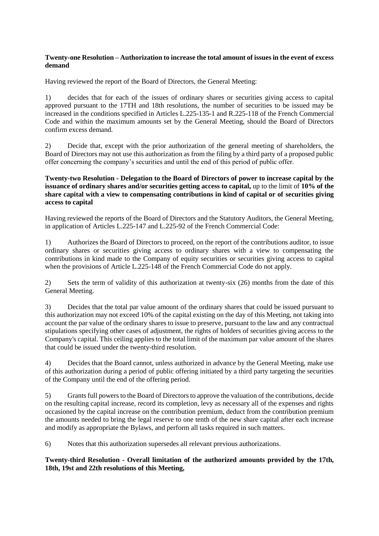## **Twenty-one Resolution – Authorization to increase the total amount of issues in the event of excess demand**

Having reviewed the report of the Board of Directors, the General Meeting:

1) decides that for each of the issues of ordinary shares or securities giving access to capital approved pursuant to the 17TH and 18th resolutions, the number of securities to be issued may be increased in the conditions specified in Articles L.225-135-1 and R.225-118 of the French Commercial Code and within the maximum amounts set by the General Meeting, should the Board of Directors confirm excess demand.

2) Decide that, except with the prior authorization of the general meeting of shareholders, the Board of Directors may not use this authorization as from the filing by a third party of a proposed public offer concerning the company's securities and until the end of this period of public offer.

## **Twenty-two Resolution - Delegation to the Board of Directors of power to increase capital by the issuance of ordinary shares and/or securities getting access to capital,** up to the limit of **10% of the share capital with a view to compensating contributions in kind of capital or of securities giving access to capital**

Having reviewed the reports of the Board of Directors and the Statutory Auditors, the General Meeting, in application of Articles L.225-147 and L.225-92 of the French Commercial Code:

1) Authorizes the Board of Directors to proceed, on the report of the contributions auditor, to issue ordinary shares or securities giving access to ordinary shares with a view to compensating the contributions in kind made to the Company of equity securities or securities giving access to capital when the provisions of Article L.225-148 of the French Commercial Code do not apply.

2) Sets the term of validity of this authorization at twenty-six (26) months from the date of this General Meeting.

3) Decides that the total par value amount of the ordinary shares that could be issued pursuant to this authorization may not exceed 10% of the capital existing on the day of this Meeting, not taking into account the par value of the ordinary shares to issue to preserve, pursuant to the law and any contractual stipulations specifying other cases of adjustment, the rights of holders of securities giving access to the Company's capital. This ceiling applies to the total limit of the maximum par value amount of the shares that could be issued under the twenty-third resolution.

4) Decides that the Board cannot, unless authorized in advance by the General Meeting, make use of this authorization during a period of public offering initiated by a third party targeting the securities of the Company until the end of the offering period.

5) Grants full powers to the Board of Directors to approve the valuation of the contributions, decide on the resulting capital increase, record its completion, levy as necessary all of the expenses and rights occasioned by the capital increase on the contribution premium, deduct from the contribution premium the amounts needed to bring the legal reserve to one tenth of the new share capital after each increase and modify as appropriate the Bylaws, and perform all tasks required in such matters.

6) Notes that this authorization supersedes all relevant previous authorizations.

## **Twenty-third Resolution - Overall limitation of the authorized amounts provided by the 17th, 18th, 19st and 22th resolutions of this Meeting,**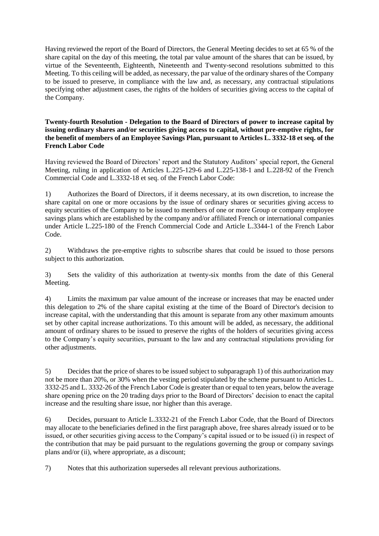Having reviewed the report of the Board of Directors, the General Meeting decides to set at 65 % of the share capital on the day of this meeting, the total par value amount of the shares that can be issued, by virtue of the Seventeenth, Eighteenth, Nineteenth and Twenty-second resolutions submitted to this Meeting. To this ceiling will be added, as necessary, the par value of the ordinary shares of the Company to be issued to preserve, in compliance with the law and, as necessary, any contractual stipulations specifying other adjustment cases, the rights of the holders of securities giving access to the capital of the Company.

**Twenty-fourth Resolution - Delegation to the Board of Directors of power to increase capital by issuing ordinary shares and/or securities giving access to capital, without pre-emptive rights, for the benefit of members of an Employee Savings Plan, pursuant to Articles L. 3332-18 et seq. of the French Labor Code**

Having reviewed the Board of Directors' report and the Statutory Auditors' special report, the General Meeting, ruling in application of Articles L.225-129-6 and L.225-138-1 and L.228-92 of the French Commercial Code and L.3332-18 et seq. of the French Labor Code:

1) Authorizes the Board of Directors, if it deems necessary, at its own discretion, to increase the share capital on one or more occasions by the issue of ordinary shares or securities giving access to equity securities of the Company to be issued to members of one or more Group or company employee savings plans which are established by the company and/or affiliated French or international companies under Article L.225-180 of the French Commercial Code and Article L.3344-1 of the French Labor Code.

2) Withdraws the pre-emptive rights to subscribe shares that could be issued to those persons subject to this authorization.

3) Sets the validity of this authorization at twenty-six months from the date of this General Meeting.

4) Limits the maximum par value amount of the increase or increases that may be enacted under this delegation to 2% of the share capital existing at the time of the Board of Director's decision to increase capital, with the understanding that this amount is separate from any other maximum amounts set by other capital increase authorizations. To this amount will be added, as necessary, the additional amount of ordinary shares to be issued to preserve the rights of the holders of securities giving access to the Company's equity securities, pursuant to the law and any contractual stipulations providing for other adjustments.

5) Decides that the price of shares to be issued subject to subparagraph 1) of this authorization may not be more than 20%, or 30% when the vesting period stipulated by the scheme pursuant to Articles L. 3332-25 and L. 3332-26 of the French Labor Code is greater than or equal to ten years, below the average share opening price on the 20 trading days prior to the Board of Directors' decision to enact the capital increase and the resulting share issue, nor higher than this average.

6) Decides, pursuant to Article L.3332-21 of the French Labor Code, that the Board of Directors may allocate to the beneficiaries defined in the first paragraph above, free shares already issued or to be issued, or other securities giving access to the Company's capital issued or to be issued (i) in respect of the contribution that may be paid pursuant to the regulations governing the group or company savings plans and/or (ii), where appropriate, as a discount;

7) Notes that this authorization supersedes all relevant previous authorizations.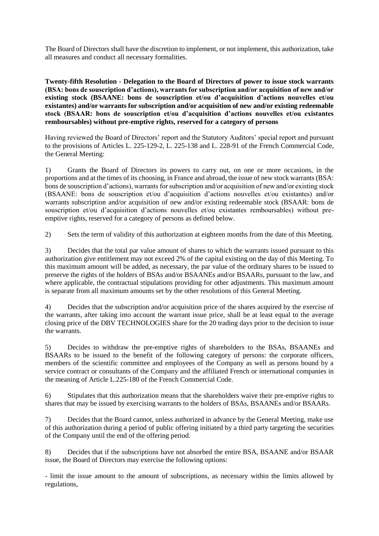The Board of Directors shall have the discretion to implement, or not implement, this authorization, take all measures and conduct all necessary formalities.

**Twenty-fifth Resolution - Delegation to the Board of Directors of power to issue stock warrants (BSA: bons de souscription d'actions), warrants for subscription and/or acquisition of new and/or existing stock (BSAANE: bons de souscription et/ou d'acquisition d'actions nouvelles et/ou existantes) and/or warrants for subscription and/or acquisition of new and/or existing redeemable stock (BSAAR: bons de souscription et/ou d'acquisition d'actions nouvelles et/ou existantes remboursables) without pre-emptive rights, reserved for a category of persons**

Having reviewed the Board of Directors' report and the Statutory Auditors' special report and pursuant to the provisions of Articles L. 225-129-2, L. 225-138 and L. 228-91 of the French Commercial Code, the General Meeting:

1) Grants the Board of Directors its powers to carry out, on one or more occasions, in the proportions and at the times of its choosing, in France and abroad, the issue of new stock warrants (BSA: bons de souscription d'actions), warrants for subscription and/or acquisition of new and/or existing stock (BSAANE: bons de souscription et/ou d'acquisition d'actions nouvelles et/ou existantes) and/or warrants subscription and/or acquisition of new and/or existing redeemable stock (BSAAR: bons de souscription et/ou d'acquisition d'actions nouvelles et/ou existantes remboursables) without preemptive rights, reserved for a category of persons as defined below.

2) Sets the term of validity of this authorization at eighteen months from the date of this Meeting.

3) Decides that the total par value amount of shares to which the warrants issued pursuant to this authorization give entitlement may not exceed 2% of the capital existing on the day of this Meeting. To this maximum amount will be added, as necessary, the par value of the ordinary shares to be issued to preserve the rights of the holders of BSAs and/or BSAANEs and/or BSAARs, pursuant to the law, and where applicable, the contractual stipulations providing for other adjustments. This maximum amount is separate from all maximum amounts set by the other resolutions of this General Meeting.

4) Decides that the subscription and/or acquisition price of the shares acquired by the exercise of the warrants, after taking into account the warrant issue price, shall be at least equal to the average closing price of the DBV TECHNOLOGIES share for the 20 trading days prior to the decision to issue the warrants.

5) Decides to withdraw the pre-emptive rights of shareholders to the BSAs, BSAANEs and BSAARs to be issued to the benefit of the following category of persons: the corporate officers, members of the scientific committee and employees of the Company as well as persons bound by a service contract or consultants of the Company and the affiliated French or international companies in the meaning of Article L.225-180 of the French Commercial Code.

6) Stipulates that this authorization means that the shareholders waive their pre-emptive rights to shares that may be issued by exercising warrants to the holders of BSAs, BSAANEs and/or BSAARs.

7) Decides that the Board cannot, unless authorized in advance by the General Meeting, make use of this authorization during a period of public offering initiated by a third party targeting the securities of the Company until the end of the offering period.

8) Decides that if the subscriptions have not absorbed the entire BSA, BSAANE and/or BSAAR issue, the Board of Directors may exercise the following options:

- limit the issue amount to the amount of subscriptions, as necessary within the limits allowed by regulations,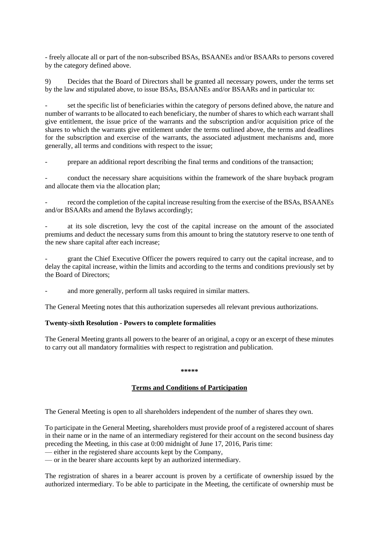- freely allocate all or part of the non-subscribed BSAs, BSAANEs and/or BSAARs to persons covered by the category defined above.

9) Decides that the Board of Directors shall be granted all necessary powers, under the terms set by the law and stipulated above, to issue BSAs, BSAANEs and/or BSAARs and in particular to:

set the specific list of beneficiaries within the category of persons defined above, the nature and number of warrants to be allocated to each beneficiary, the number of shares to which each warrant shall give entitlement, the issue price of the warrants and the subscription and/or acquisition price of the shares to which the warrants give entitlement under the terms outlined above, the terms and deadlines for the subscription and exercise of the warrants, the associated adjustment mechanisms and, more generally, all terms and conditions with respect to the issue;

prepare an additional report describing the final terms and conditions of the transaction;

- conduct the necessary share acquisitions within the framework of the share buyback program and allocate them via the allocation plan;

- record the completion of the capital increase resulting from the exercise of the BSAs, BSAANEs and/or BSAARs and amend the Bylaws accordingly;

at its sole discretion, levy the cost of the capital increase on the amount of the associated premiums and deduct the necessary sums from this amount to bring the statutory reserve to one tenth of the new share capital after each increase;

- grant the Chief Executive Officer the powers required to carry out the capital increase, and to delay the capital increase, within the limits and according to the terms and conditions previously set by the Board of Directors;

and more generally, perform all tasks required in similar matters.

The General Meeting notes that this authorization supersedes all relevant previous authorizations.

#### **Twenty-sixth Resolution - Powers to complete formalities**

The General Meeting grants all powers to the bearer of an original, a copy or an excerpt of these minutes to carry out all mandatory formalities with respect to registration and publication.

#### **\*\*\*\*\***

## **Terms and Conditions of Participation**

The General Meeting is open to all shareholders independent of the number of shares they own.

To participate in the General Meeting, shareholders must provide proof of a registered account of shares in their name or in the name of an intermediary registered for their account on the second business day preceding the Meeting, in this case at 0:00 midnight of June 17, 2016, Paris time:

— either in the registered share accounts kept by the Company,

— or in the bearer share accounts kept by an authorized intermediary.

The registration of shares in a bearer account is proven by a certificate of ownership issued by the authorized intermediary. To be able to participate in the Meeting, the certificate of ownership must be